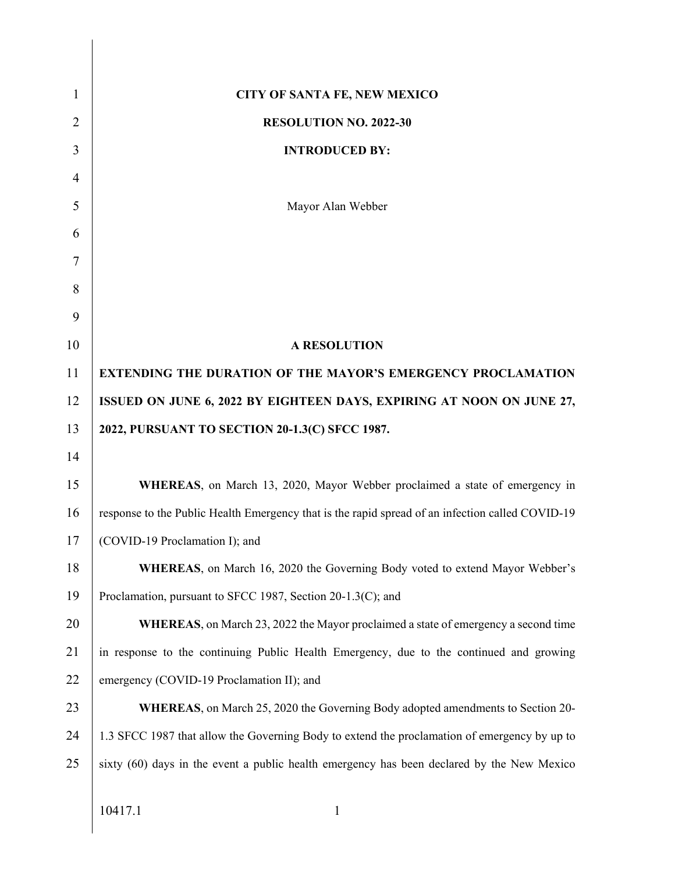| $\mathbf{1}$   | <b>CITY OF SANTA FE, NEW MEXICO</b>                                                              |  |  |  |
|----------------|--------------------------------------------------------------------------------------------------|--|--|--|
| $\overline{2}$ | <b>RESOLUTION NO. 2022-30</b>                                                                    |  |  |  |
| 3              | <b>INTRODUCED BY:</b>                                                                            |  |  |  |
| $\overline{4}$ |                                                                                                  |  |  |  |
| 5              | Mayor Alan Webber                                                                                |  |  |  |
| 6              |                                                                                                  |  |  |  |
| 7              |                                                                                                  |  |  |  |
| 8              |                                                                                                  |  |  |  |
| 9              |                                                                                                  |  |  |  |
| 10             | <b>A RESOLUTION</b>                                                                              |  |  |  |
| 11             | <b>EXTENDING THE DURATION OF THE MAYOR'S EMERGENCY PROCLAMATION</b>                              |  |  |  |
| 12             | ISSUED ON JUNE 6, 2022 BY EIGHTEEN DAYS, EXPIRING AT NOON ON JUNE 27,                            |  |  |  |
| 13             | 2022, PURSUANT TO SECTION 20-1.3(C) SFCC 1987.                                                   |  |  |  |
| 14             |                                                                                                  |  |  |  |
| 15             | WHEREAS, on March 13, 2020, Mayor Webber proclaimed a state of emergency in                      |  |  |  |
| 16             | response to the Public Health Emergency that is the rapid spread of an infection called COVID-19 |  |  |  |
| 17             | (COVID-19 Proclamation I); and                                                                   |  |  |  |
| 18             | <b>WHEREAS</b> , on March 16, 2020 the Governing Body voted to extend Mayor Webber's             |  |  |  |
| 19             | Proclamation, pursuant to SFCC 1987, Section 20-1.3(C); and                                      |  |  |  |
| 20             | <b>WHEREAS</b> , on March 23, 2022 the Mayor proclaimed a state of emergency a second time       |  |  |  |
| 21             | in response to the continuing Public Health Emergency, due to the continued and growing          |  |  |  |
| 22             | emergency (COVID-19 Proclamation II); and                                                        |  |  |  |
| 23             | <b>WHEREAS</b> , on March 25, 2020 the Governing Body adopted amendments to Section 20-          |  |  |  |
| 24             | 1.3 SFCC 1987 that allow the Governing Body to extend the proclamation of emergency by up to     |  |  |  |
| 25             | sixty (60) days in the event a public health emergency has been declared by the New Mexico       |  |  |  |
|                |                                                                                                  |  |  |  |
|                | 10417.1<br>$\mathbf{1}$                                                                          |  |  |  |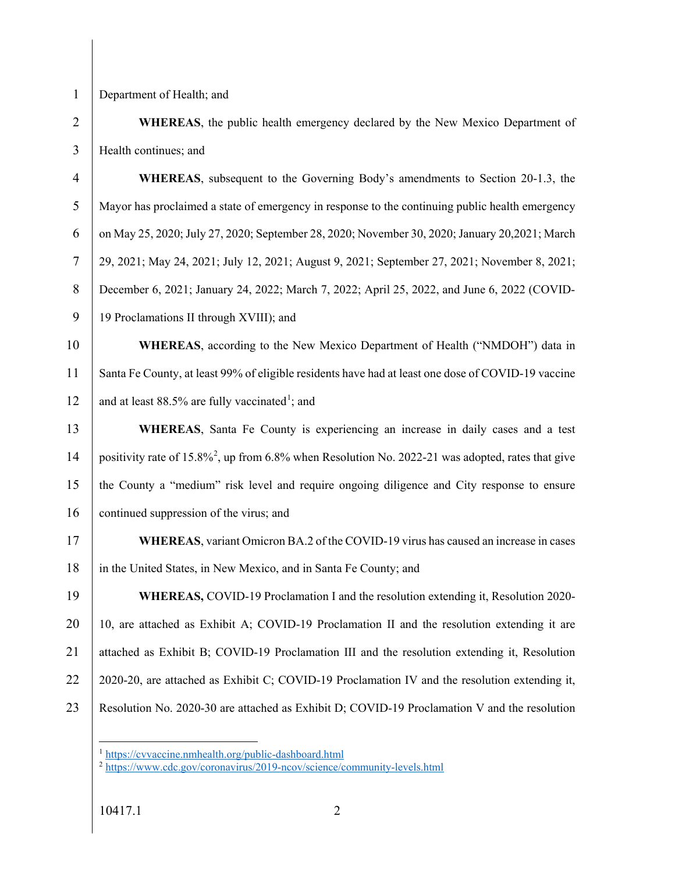1 Department of Health; and

2 **WHEREAS**, the public health emergency declared by the New Mexico Department of 3 | Health continues; and

4 **WHEREAS**, subsequent to the Governing Body's amendments to Section 20-1.3, the 5 Mayor has proclaimed a state of emergency in response to the continuing public health emergency 6 on May 25, 2020; July 27, 2020; September 28, 2020; November 30, 2020; January 20,2021; March 7 29, 2021; May 24, 2021; July 12, 2021; August 9, 2021; September 27, 2021; November 8, 2021; 8 December 6, 2021; January 24, 2022; March 7, 2022; April 25, 2022, and June 6, 2022 (COVID-9 | 19 Proclamations II through XVIII); and

10 **WHEREAS**, according to the New Mexico Department of Health ("NMDOH") data in 11 Santa Fe County, at least 99% of eligible residents have had at least one dose of COVID-19 vaccine 12 and at least 88.5% are fully vaccinated<sup>1</sup>; and

13 **WHEREAS**, Santa Fe County is experiencing an increase in daily cases and a test 14 | positivity rate of 15.8%<sup>2</sup>, up from 6.8% when Resolution No. 2022-21 was adopted, rates that give 15 the County a "medium" risk level and require ongoing diligence and City response to ensure 16 continued suppression of the virus; and

17 **WHEREAS**, variant Omicron BA.2 of the COVID-19 virus has caused an increase in cases 18 in the United States, in New Mexico, and in Santa Fe County; and

19 **WHEREAS,** COVID-19 Proclamation I and the resolution extending it, Resolution 2020- $20$  | 10, are attached as Exhibit A; COVID-19 Proclamation II and the resolution extending it are 21 attached as Exhibit B; COVID-19 Proclamation III and the resolution extending it, Resolution 22  $\mid$  2020-20, are attached as Exhibit C; COVID-19 Proclamation IV and the resolution extending it, 23 Resolution No. 2020-30 are attached as Exhibit D; COVID-19 Proclamation V and the resolution

 $\overline{a}$ <sup>1</sup> <https://cvvaccine.nmhealth.org/public-dashboard.html>

<sup>2</sup> <https://www.cdc.gov/coronavirus/2019-ncov/science/community-levels.html>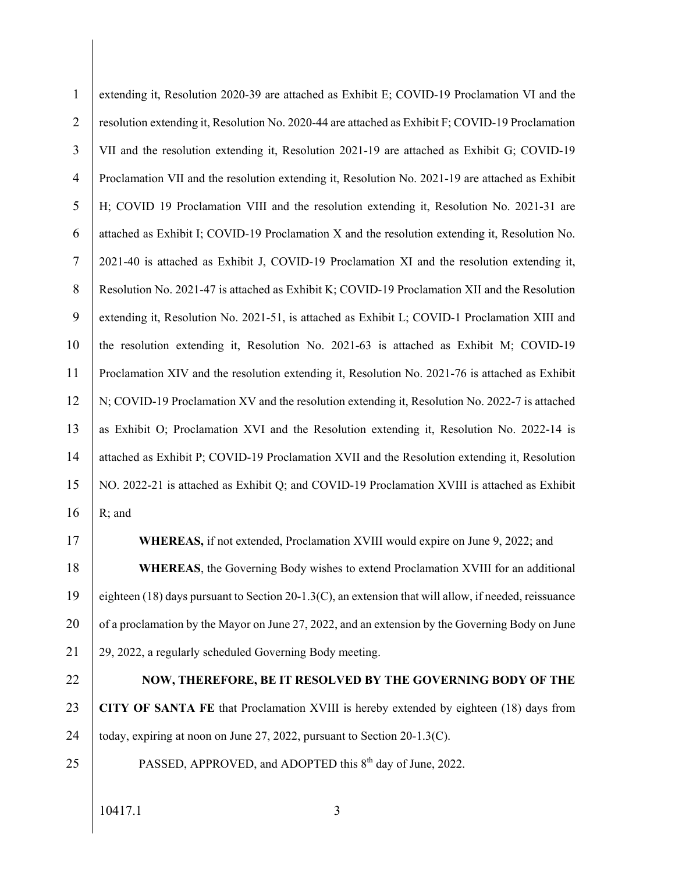| $\mathbf{1}$   | extending it, Resolution 2020-39 are attached as Exhibit E; COVID-19 Proclamation VI and the          |  |  |  |
|----------------|-------------------------------------------------------------------------------------------------------|--|--|--|
| $\overline{2}$ | resolution extending it, Resolution No. 2020-44 are attached as Exhibit F; COVID-19 Proclamation      |  |  |  |
| 3              | VII and the resolution extending it, Resolution 2021-19 are attached as Exhibit G; COVID-19           |  |  |  |
| $\overline{4}$ | Proclamation VII and the resolution extending it, Resolution No. 2021-19 are attached as Exhibit      |  |  |  |
| 5              | H; COVID 19 Proclamation VIII and the resolution extending it, Resolution No. 2021-31 are             |  |  |  |
| 6              | attached as Exhibit I; COVID-19 Proclamation X and the resolution extending it, Resolution No.        |  |  |  |
| $\tau$         | 2021-40 is attached as Exhibit J, COVID-19 Proclamation XI and the resolution extending it,           |  |  |  |
| $8\,$          | Resolution No. 2021-47 is attached as Exhibit K; COVID-19 Proclamation XII and the Resolution         |  |  |  |
| 9              | extending it, Resolution No. 2021-51, is attached as Exhibit L; COVID-1 Proclamation XIII and         |  |  |  |
| 10             | the resolution extending it, Resolution No. 2021-63 is attached as Exhibit M; COVID-19                |  |  |  |
| 11             | Proclamation XIV and the resolution extending it, Resolution No. 2021-76 is attached as Exhibit       |  |  |  |
| 12             | N; COVID-19 Proclamation XV and the resolution extending it, Resolution No. 2022-7 is attached        |  |  |  |
| 13             | as Exhibit O; Proclamation XVI and the Resolution extending it, Resolution No. 2022-14 is             |  |  |  |
| 14             | attached as Exhibit P; COVID-19 Proclamation XVII and the Resolution extending it, Resolution         |  |  |  |
| 15             | NO. 2022-21 is attached as Exhibit Q; and COVID-19 Proclamation XVIII is attached as Exhibit          |  |  |  |
| 16             | R; and                                                                                                |  |  |  |
| 17             | WHEREAS, if not extended, Proclamation XVIII would expire on June 9, 2022; and                        |  |  |  |
| 18             | <b>WHEREAS</b> , the Governing Body wishes to extend Proclamation XVIII for an additional             |  |  |  |
| 19             | eighteen (18) days pursuant to Section 20-1.3(C), an extension that will allow, if needed, reissuance |  |  |  |
| 20             | of a proclamation by the Mayor on June 27, 2022, and an extension by the Governing Body on June       |  |  |  |
| 21             | 29, 2022, a regularly scheduled Governing Body meeting.                                               |  |  |  |
| 22             | NOW, THEREFORE, BE IT RESOLVED BY THE GOVERNING BODY OF THE                                           |  |  |  |
| 23             | CITY OF SANTA FE that Proclamation XVIII is hereby extended by eighteen (18) days from                |  |  |  |
| 24             | today, expiring at noon on June 27, 2022, pursuant to Section 20-1.3(C).                              |  |  |  |
| 25             | PASSED, APPROVED, and ADOPTED this 8 <sup>th</sup> day of June, 2022.                                 |  |  |  |
|                |                                                                                                       |  |  |  |
|                | 10417.1<br>3                                                                                          |  |  |  |